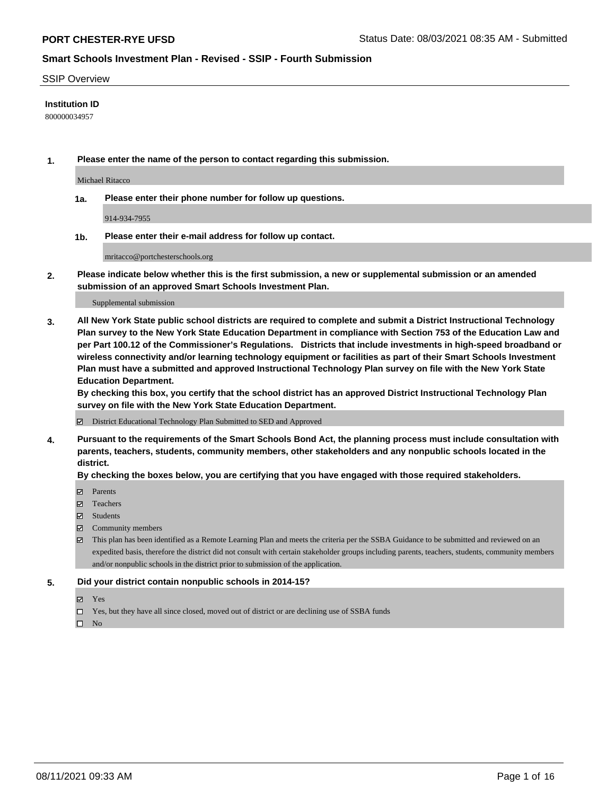#### SSIP Overview

#### **Institution ID**

800000034957

**1. Please enter the name of the person to contact regarding this submission.**

Michael Ritacco

**1a. Please enter their phone number for follow up questions.**

914-934-7955

**1b. Please enter their e-mail address for follow up contact.**

mritacco@portchesterschools.org

**2. Please indicate below whether this is the first submission, a new or supplemental submission or an amended submission of an approved Smart Schools Investment Plan.**

#### Supplemental submission

**3. All New York State public school districts are required to complete and submit a District Instructional Technology Plan survey to the New York State Education Department in compliance with Section 753 of the Education Law and per Part 100.12 of the Commissioner's Regulations. Districts that include investments in high-speed broadband or wireless connectivity and/or learning technology equipment or facilities as part of their Smart Schools Investment Plan must have a submitted and approved Instructional Technology Plan survey on file with the New York State Education Department.** 

**By checking this box, you certify that the school district has an approved District Instructional Technology Plan survey on file with the New York State Education Department.**

District Educational Technology Plan Submitted to SED and Approved

**4. Pursuant to the requirements of the Smart Schools Bond Act, the planning process must include consultation with parents, teachers, students, community members, other stakeholders and any nonpublic schools located in the district.** 

#### **By checking the boxes below, you are certifying that you have engaged with those required stakeholders.**

- **Parents**
- Teachers
- Students
- $\boxtimes$  Community members
- This plan has been identified as a Remote Learning Plan and meets the criteria per the SSBA Guidance to be submitted and reviewed on an expedited basis, therefore the district did not consult with certain stakeholder groups including parents, teachers, students, community members and/or nonpublic schools in the district prior to submission of the application.
- **5. Did your district contain nonpublic schools in 2014-15?**
	- Yes
	- □ Yes, but they have all since closed, moved out of district or are declining use of SSBA funds

 $\Box$  No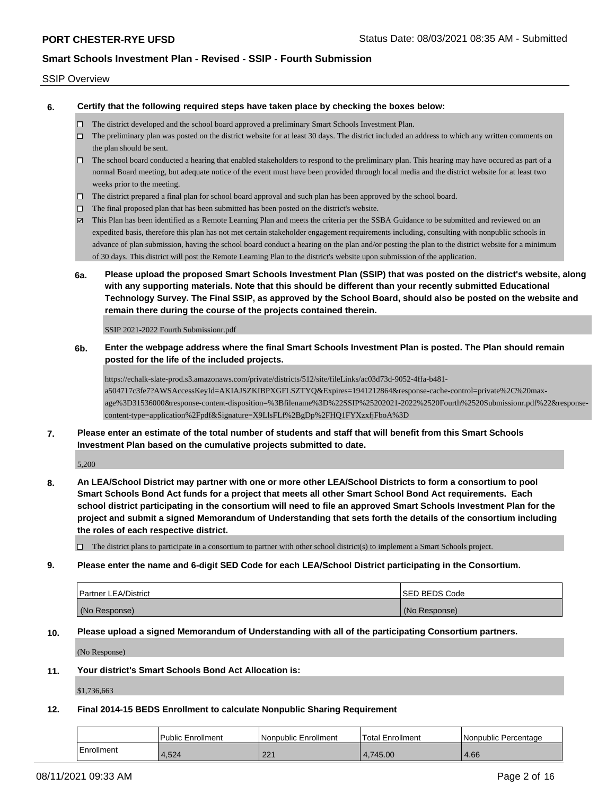#### SSIP Overview

**6. Certify that the following required steps have taken place by checking the boxes below:**

- The district developed and the school board approved a preliminary Smart Schools Investment Plan.
- $\Box$  The preliminary plan was posted on the district website for at least 30 days. The district included an address to which any written comments on the plan should be sent.
- The school board conducted a hearing that enabled stakeholders to respond to the preliminary plan. This hearing may have occured as part of a normal Board meeting, but adequate notice of the event must have been provided through local media and the district website for at least two weeks prior to the meeting.
- $\Box$  The district prepared a final plan for school board approval and such plan has been approved by the school board.
- $\Box$  The final proposed plan that has been submitted has been posted on the district's website.
- This Plan has been identified as a Remote Learning Plan and meets the criteria per the SSBA Guidance to be submitted and reviewed on an expedited basis, therefore this plan has not met certain stakeholder engagement requirements including, consulting with nonpublic schools in advance of plan submission, having the school board conduct a hearing on the plan and/or posting the plan to the district website for a minimum of 30 days. This district will post the Remote Learning Plan to the district's website upon submission of the application.
- **6a. Please upload the proposed Smart Schools Investment Plan (SSIP) that was posted on the district's website, along with any supporting materials. Note that this should be different than your recently submitted Educational Technology Survey. The Final SSIP, as approved by the School Board, should also be posted on the website and remain there during the course of the projects contained therein.**

SSIP 2021-2022 Fourth Submissionr.pdf

**6b. Enter the webpage address where the final Smart Schools Investment Plan is posted. The Plan should remain posted for the life of the included projects.**

https://echalk-slate-prod.s3.amazonaws.com/private/districts/512/site/fileLinks/ac03d73d-9052-4ffa-b481 a504717c3fe7?AWSAccessKeyId=AKIAJSZKIBPXGFLSZTYQ&Expires=1941212864&response-cache-control=private%2C%20maxage%3D31536000&response-content-disposition=%3Bfilename%3D%22SSIP%25202021-2022%2520Fourth%2520Submissionr.pdf%22&responsecontent-type=application%2Fpdf&Signature=X9LlsFLf%2BgDp%2FHQ1FYXzxfjFboA%3D

**7. Please enter an estimate of the total number of students and staff that will benefit from this Smart Schools Investment Plan based on the cumulative projects submitted to date.**

5,200

**8. An LEA/School District may partner with one or more other LEA/School Districts to form a consortium to pool Smart Schools Bond Act funds for a project that meets all other Smart School Bond Act requirements. Each school district participating in the consortium will need to file an approved Smart Schools Investment Plan for the project and submit a signed Memorandum of Understanding that sets forth the details of the consortium including the roles of each respective district.**

 $\Box$  The district plans to participate in a consortium to partner with other school district(s) to implement a Smart Schools project.

**9. Please enter the name and 6-digit SED Code for each LEA/School District participating in the Consortium.**

| <b>Partner LEA/District</b> | <b>ISED BEDS Code</b> |
|-----------------------------|-----------------------|
| (No Response)               | (No Response)         |

**10. Please upload a signed Memorandum of Understanding with all of the participating Consortium partners.**

(No Response)

**11. Your district's Smart Schools Bond Act Allocation is:**

\$1,736,663

**12. Final 2014-15 BEDS Enrollment to calculate Nonpublic Sharing Requirement**

|            | <b>Public Enrollment</b> | l Nonpublic Enrollment | Total Enrollment | Nonpublic Percentage |
|------------|--------------------------|------------------------|------------------|----------------------|
| Enrollment | 4.524                    | 221<br>LL              | 4.745.00         | 4.66                 |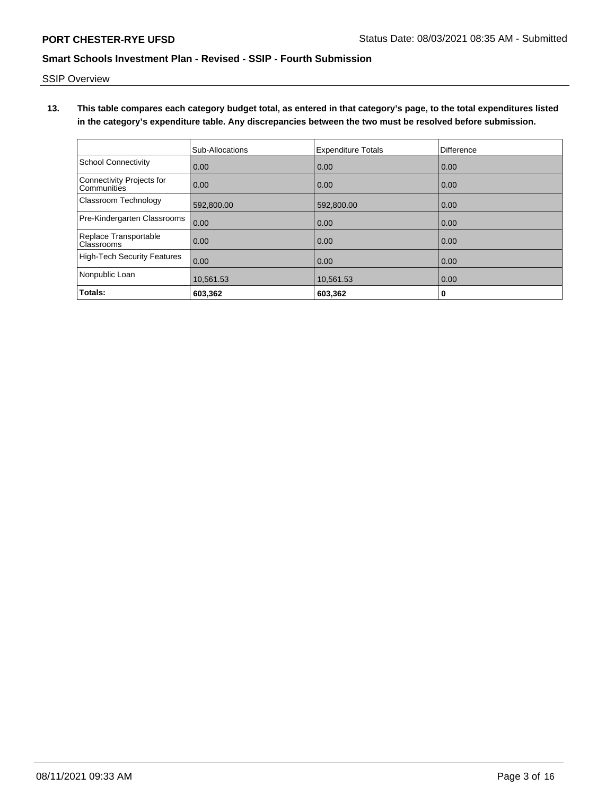SSIP Overview

**13. This table compares each category budget total, as entered in that category's page, to the total expenditures listed in the category's expenditure table. Any discrepancies between the two must be resolved before submission.**

|                                            | Sub-Allocations | <b>Expenditure Totals</b> | Difference |
|--------------------------------------------|-----------------|---------------------------|------------|
| <b>School Connectivity</b>                 | 0.00            | 0.00                      | 0.00       |
| Connectivity Projects for<br>Communities   | 0.00            | 0.00                      | 0.00       |
| Classroom Technology                       | 592,800.00      | 592,800.00                | 0.00       |
| Pre-Kindergarten Classrooms                | 0.00            | 0.00                      | 0.00       |
| Replace Transportable<br><b>Classrooms</b> | 0.00            | 0.00                      | 0.00       |
| <b>High-Tech Security Features</b>         | 0.00            | 0.00                      | 0.00       |
| Nonpublic Loan                             | 10,561.53       | 10,561.53                 | 0.00       |
| Totals:                                    | 603,362         | 603,362                   | 0          |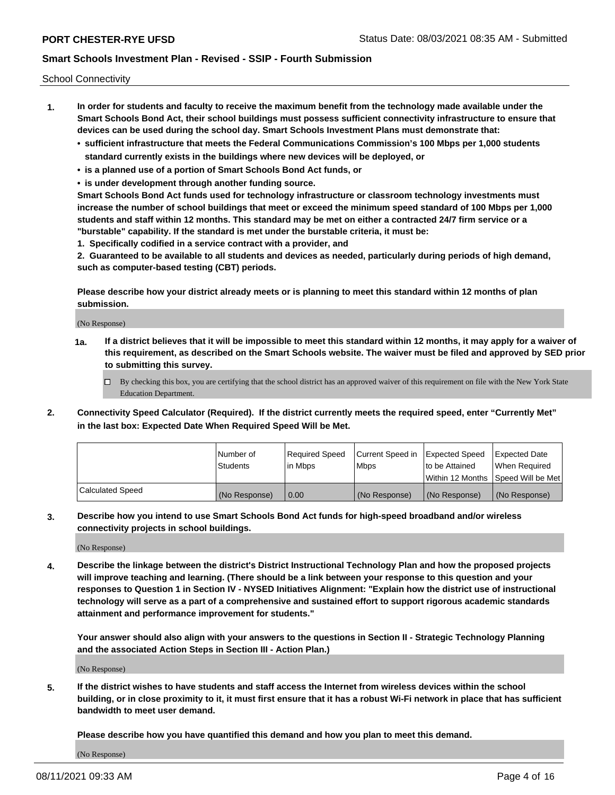School Connectivity

- **1. In order for students and faculty to receive the maximum benefit from the technology made available under the Smart Schools Bond Act, their school buildings must possess sufficient connectivity infrastructure to ensure that devices can be used during the school day. Smart Schools Investment Plans must demonstrate that:**
	- **• sufficient infrastructure that meets the Federal Communications Commission's 100 Mbps per 1,000 students standard currently exists in the buildings where new devices will be deployed, or**
	- **• is a planned use of a portion of Smart Schools Bond Act funds, or**
	- **• is under development through another funding source.**

**Smart Schools Bond Act funds used for technology infrastructure or classroom technology investments must increase the number of school buildings that meet or exceed the minimum speed standard of 100 Mbps per 1,000 students and staff within 12 months. This standard may be met on either a contracted 24/7 firm service or a "burstable" capability. If the standard is met under the burstable criteria, it must be:**

**1. Specifically codified in a service contract with a provider, and**

**2. Guaranteed to be available to all students and devices as needed, particularly during periods of high demand, such as computer-based testing (CBT) periods.**

**Please describe how your district already meets or is planning to meet this standard within 12 months of plan submission.**

(No Response)

**1a. If a district believes that it will be impossible to meet this standard within 12 months, it may apply for a waiver of this requirement, as described on the Smart Schools website. The waiver must be filed and approved by SED prior to submitting this survey.**

 $\Box$  By checking this box, you are certifying that the school district has an approved waiver of this requirement on file with the New York State Education Department.

**2. Connectivity Speed Calculator (Required). If the district currently meets the required speed, enter "Currently Met" in the last box: Expected Date When Required Speed Will be Met.**

|                  | l Number of     | Required Speed | Current Speed in | Expected Speed | Expected Date                           |
|------------------|-----------------|----------------|------------------|----------------|-----------------------------------------|
|                  | <b>Students</b> | In Mbps        | l Mbps           | to be Attained | When Required                           |
|                  |                 |                |                  |                | l Within 12 Months ISpeed Will be Met l |
| Calculated Speed | (No Response)   | 0.00           | (No Response)    | (No Response)  | (No Response)                           |

**3. Describe how you intend to use Smart Schools Bond Act funds for high-speed broadband and/or wireless connectivity projects in school buildings.**

(No Response)

**4. Describe the linkage between the district's District Instructional Technology Plan and how the proposed projects will improve teaching and learning. (There should be a link between your response to this question and your responses to Question 1 in Section IV - NYSED Initiatives Alignment: "Explain how the district use of instructional technology will serve as a part of a comprehensive and sustained effort to support rigorous academic standards attainment and performance improvement for students."** 

**Your answer should also align with your answers to the questions in Section II - Strategic Technology Planning and the associated Action Steps in Section III - Action Plan.)**

(No Response)

**5. If the district wishes to have students and staff access the Internet from wireless devices within the school building, or in close proximity to it, it must first ensure that it has a robust Wi-Fi network in place that has sufficient bandwidth to meet user demand.**

**Please describe how you have quantified this demand and how you plan to meet this demand.**

(No Response)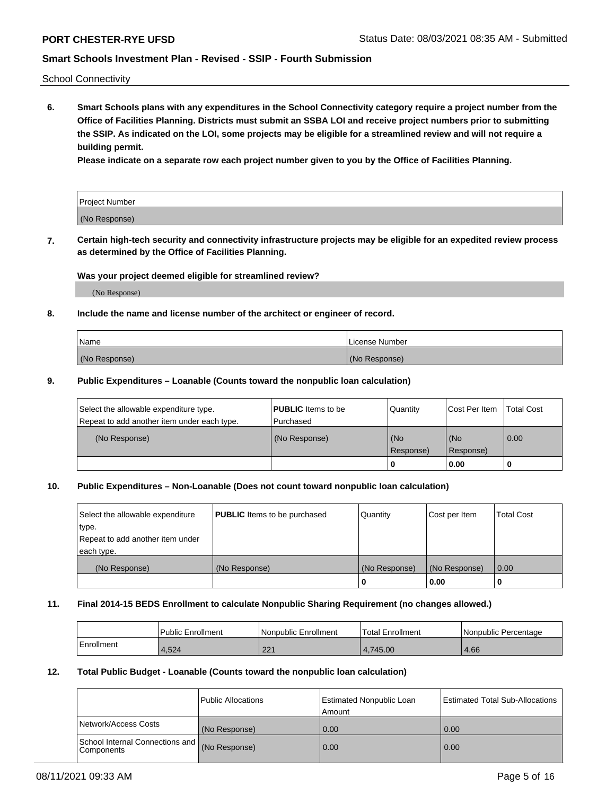School Connectivity

**6. Smart Schools plans with any expenditures in the School Connectivity category require a project number from the Office of Facilities Planning. Districts must submit an SSBA LOI and receive project numbers prior to submitting the SSIP. As indicated on the LOI, some projects may be eligible for a streamlined review and will not require a building permit.**

**Please indicate on a separate row each project number given to you by the Office of Facilities Planning.**

| Project Number |  |
|----------------|--|
| (No Response)  |  |

**7. Certain high-tech security and connectivity infrastructure projects may be eligible for an expedited review process as determined by the Office of Facilities Planning.**

#### **Was your project deemed eligible for streamlined review?**

(No Response)

### **8. Include the name and license number of the architect or engineer of record.**

| Name          | License Number |
|---------------|----------------|
| (No Response) | (No Response)  |

#### **9. Public Expenditures – Loanable (Counts toward the nonpublic loan calculation)**

| Select the allowable expenditure type.<br>Repeat to add another item under each type. | <b>PUBLIC</b> Items to be<br>l Purchased | Quantity           | Cost Per Item    | <b>Total Cost</b> |
|---------------------------------------------------------------------------------------|------------------------------------------|--------------------|------------------|-------------------|
| (No Response)                                                                         | (No Response)                            | l (No<br>Response) | (No<br>Response) | $\overline{0.00}$ |
|                                                                                       |                                          | 0                  | 0.00             |                   |

### **10. Public Expenditures – Non-Loanable (Does not count toward nonpublic loan calculation)**

| Select the allowable expenditure<br>type.<br>Repeat to add another item under<br>each type. | <b>PUBLIC</b> Items to be purchased | Quantity      | Cost per Item | <b>Total Cost</b> |
|---------------------------------------------------------------------------------------------|-------------------------------------|---------------|---------------|-------------------|
| (No Response)                                                                               | (No Response)                       | (No Response) | (No Response) | 0.00              |
|                                                                                             |                                     |               | 0.00          |                   |

#### **11. Final 2014-15 BEDS Enrollment to calculate Nonpublic Sharing Requirement (no changes allowed.)**

|            | Public Enrollment | Nonpublic Enrollment | 'Total Enrollment | l Nonpublic Percentage |
|------------|-------------------|----------------------|-------------------|------------------------|
| Enrollment | 1,524             | 221<br>221           | 4.745.00          | 4.66                   |

### **12. Total Public Budget - Loanable (Counts toward the nonpublic loan calculation)**

|                                                      | Public Allocations | <b>Estimated Nonpublic Loan</b><br>Amount | Estimated Total Sub-Allocations |
|------------------------------------------------------|--------------------|-------------------------------------------|---------------------------------|
| Network/Access Costs                                 | (No Response)      | 0.00                                      | 0.00                            |
| School Internal Connections and<br><b>Components</b> | (No Response)      | 0.00                                      | 0.00                            |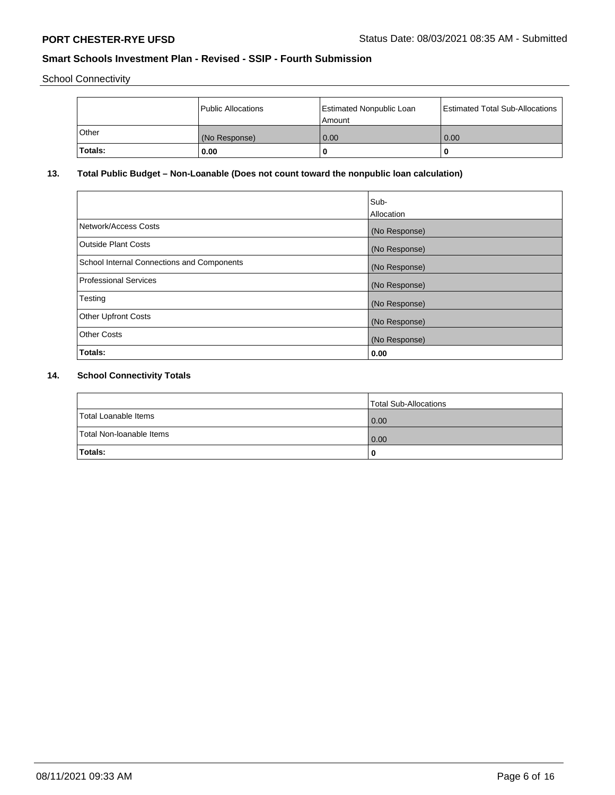School Connectivity

|         | Public Allocations | <b>Estimated Nonpublic Loan</b><br>l Amount | <b>Estimated Total Sub-Allocations</b> |
|---------|--------------------|---------------------------------------------|----------------------------------------|
| l Other | (No Response)      | 0.00                                        | 0.00                                   |
| Totals: | 0.00               | 0                                           |                                        |

# **13. Total Public Budget – Non-Loanable (Does not count toward the nonpublic loan calculation)**

|                                                   | Sub-<br>Allocation |
|---------------------------------------------------|--------------------|
| Network/Access Costs                              | (No Response)      |
| <b>Outside Plant Costs</b>                        | (No Response)      |
| <b>School Internal Connections and Components</b> | (No Response)      |
| Professional Services                             | (No Response)      |
| Testing                                           | (No Response)      |
| <b>Other Upfront Costs</b>                        | (No Response)      |
| <b>Other Costs</b>                                | (No Response)      |
| <b>Totals:</b>                                    | 0.00               |

# **14. School Connectivity Totals**

|                          | Total Sub-Allocations |
|--------------------------|-----------------------|
| Total Loanable Items     | 0.00                  |
| Total Non-Ioanable Items | 0.00                  |
| Totals:                  | 0                     |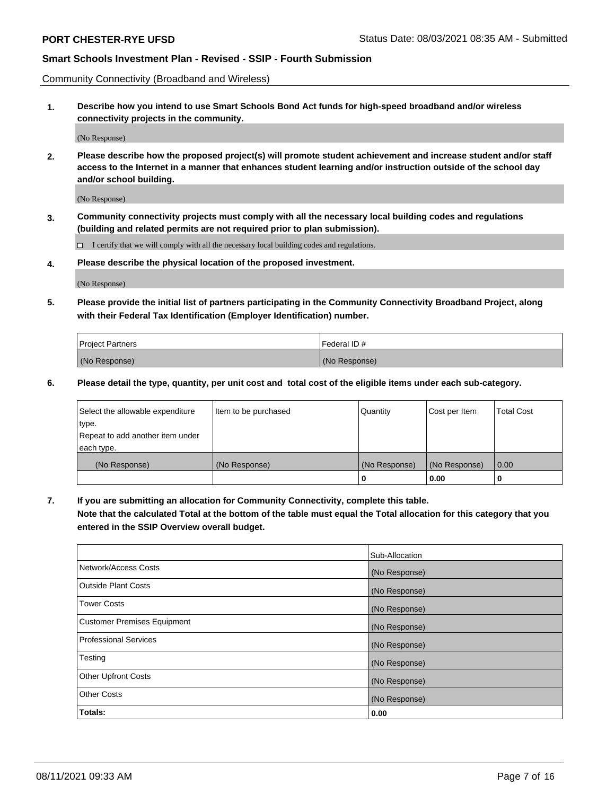Community Connectivity (Broadband and Wireless)

**1. Describe how you intend to use Smart Schools Bond Act funds for high-speed broadband and/or wireless connectivity projects in the community.**

(No Response)

**2. Please describe how the proposed project(s) will promote student achievement and increase student and/or staff access to the Internet in a manner that enhances student learning and/or instruction outside of the school day and/or school building.**

(No Response)

**3. Community connectivity projects must comply with all the necessary local building codes and regulations (building and related permits are not required prior to plan submission).**

 $\Box$  I certify that we will comply with all the necessary local building codes and regulations.

**4. Please describe the physical location of the proposed investment.**

(No Response)

**5. Please provide the initial list of partners participating in the Community Connectivity Broadband Project, along with their Federal Tax Identification (Employer Identification) number.**

| <b>Project Partners</b> | Federal ID#   |
|-------------------------|---------------|
| (No Response)           | (No Response) |

**6. Please detail the type, quantity, per unit cost and total cost of the eligible items under each sub-category.**

| Select the allowable expenditure | Item to be purchased | Quantity      | Cost per Item | <b>Total Cost</b> |
|----------------------------------|----------------------|---------------|---------------|-------------------|
| type.                            |                      |               |               |                   |
| Repeat to add another item under |                      |               |               |                   |
| each type.                       |                      |               |               |                   |
| (No Response)                    | (No Response)        | (No Response) | (No Response) | 0.00              |
|                                  |                      | o             | 0.00          |                   |

**7. If you are submitting an allocation for Community Connectivity, complete this table.**

**Note that the calculated Total at the bottom of the table must equal the Total allocation for this category that you entered in the SSIP Overview overall budget.**

|                                    | Sub-Allocation |
|------------------------------------|----------------|
| Network/Access Costs               | (No Response)  |
| Outside Plant Costs                | (No Response)  |
| <b>Tower Costs</b>                 | (No Response)  |
| <b>Customer Premises Equipment</b> | (No Response)  |
| <b>Professional Services</b>       | (No Response)  |
| Testing                            | (No Response)  |
| <b>Other Upfront Costs</b>         | (No Response)  |
| <b>Other Costs</b>                 | (No Response)  |
| Totals:                            | 0.00           |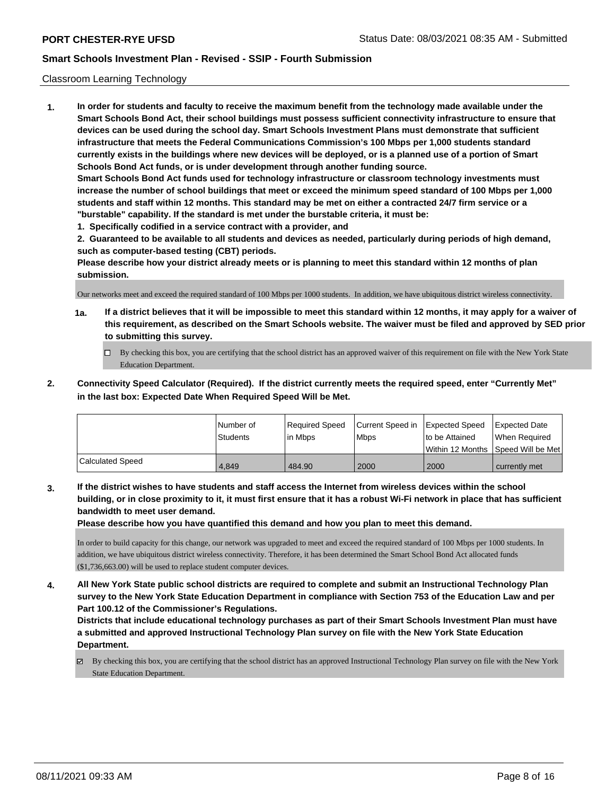### Classroom Learning Technology

**1. In order for students and faculty to receive the maximum benefit from the technology made available under the Smart Schools Bond Act, their school buildings must possess sufficient connectivity infrastructure to ensure that devices can be used during the school day. Smart Schools Investment Plans must demonstrate that sufficient infrastructure that meets the Federal Communications Commission's 100 Mbps per 1,000 students standard currently exists in the buildings where new devices will be deployed, or is a planned use of a portion of Smart Schools Bond Act funds, or is under development through another funding source. Smart Schools Bond Act funds used for technology infrastructure or classroom technology investments must increase the number of school buildings that meet or exceed the minimum speed standard of 100 Mbps per 1,000 students and staff within 12 months. This standard may be met on either a contracted 24/7 firm service or a "burstable" capability. If the standard is met under the burstable criteria, it must be:**

**1. Specifically codified in a service contract with a provider, and**

**2. Guaranteed to be available to all students and devices as needed, particularly during periods of high demand, such as computer-based testing (CBT) periods.**

**Please describe how your district already meets or is planning to meet this standard within 12 months of plan submission.**

Our networks meet and exceed the required standard of 100 Mbps per 1000 students. In addition, we have ubiquitous district wireless connectivity.

- **1a. If a district believes that it will be impossible to meet this standard within 12 months, it may apply for a waiver of this requirement, as described on the Smart Schools website. The waiver must be filed and approved by SED prior to submitting this survey.**
	- By checking this box, you are certifying that the school district has an approved waiver of this requirement on file with the New York State Education Department.
- **2. Connectivity Speed Calculator (Required). If the district currently meets the required speed, enter "Currently Met" in the last box: Expected Date When Required Speed Will be Met.**

|                  | l Number of     | Required Speed | Current Speed in Expected Speed |                | Expected Date                        |
|------------------|-----------------|----------------|---------------------------------|----------------|--------------------------------------|
|                  | <b>Students</b> | l in Mbps      | <b>Mbps</b>                     | to be Attained | When Required                        |
|                  |                 |                |                                 |                | Within 12 Months 1Speed Will be Met1 |
| Calculated Speed | 4.849           | 484.90         | 2000                            | 2000           | currently met                        |

**3. If the district wishes to have students and staff access the Internet from wireless devices within the school building, or in close proximity to it, it must first ensure that it has a robust Wi-Fi network in place that has sufficient bandwidth to meet user demand.**

**Please describe how you have quantified this demand and how you plan to meet this demand.**

In order to build capacity for this change, our network was upgraded to meet and exceed the required standard of 100 Mbps per 1000 students. In addition, we have ubiquitous district wireless connectivity. Therefore, it has been determined the Smart School Bond Act allocated funds (\$1,736,663.00) will be used to replace student computer devices.

**4. All New York State public school districts are required to complete and submit an Instructional Technology Plan survey to the New York State Education Department in compliance with Section 753 of the Education Law and per Part 100.12 of the Commissioner's Regulations.**

**Districts that include educational technology purchases as part of their Smart Schools Investment Plan must have a submitted and approved Instructional Technology Plan survey on file with the New York State Education Department.**

By checking this box, you are certifying that the school district has an approved Instructional Technology Plan survey on file with the New York State Education Department.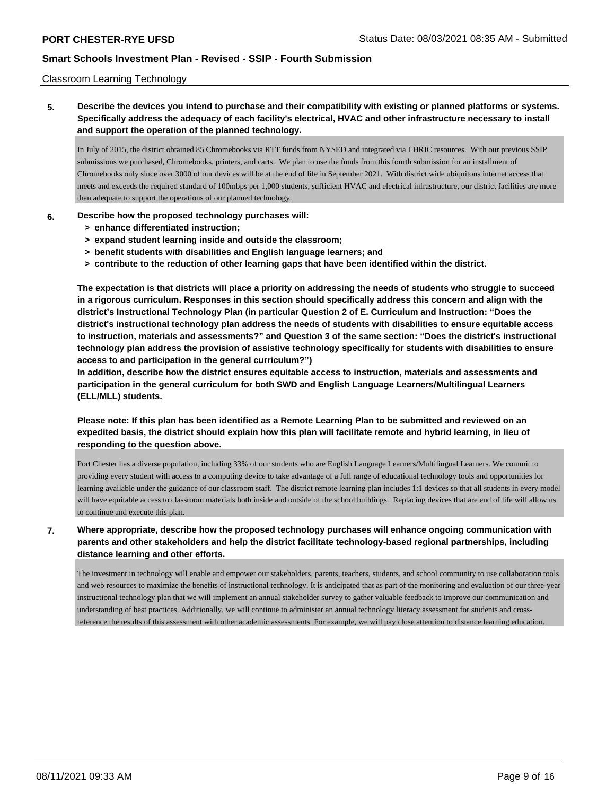### Classroom Learning Technology

**5. Describe the devices you intend to purchase and their compatibility with existing or planned platforms or systems. Specifically address the adequacy of each facility's electrical, HVAC and other infrastructure necessary to install and support the operation of the planned technology.**

In July of 2015, the district obtained 85 Chromebooks via RTT funds from NYSED and integrated via LHRIC resources. With our previous SSIP submissions we purchased, Chromebooks, printers, and carts. We plan to use the funds from this fourth submission for an installment of Chromebooks only since over 3000 of our devices will be at the end of life in September 2021. With district wide ubiquitous internet access that meets and exceeds the required standard of 100mbps per 1,000 students, sufficient HVAC and electrical infrastructure, our district facilities are more than adequate to support the operations of our planned technology.

#### **6. Describe how the proposed technology purchases will:**

- **> enhance differentiated instruction;**
- **> expand student learning inside and outside the classroom;**
- **> benefit students with disabilities and English language learners; and**
- **> contribute to the reduction of other learning gaps that have been identified within the district.**

**The expectation is that districts will place a priority on addressing the needs of students who struggle to succeed in a rigorous curriculum. Responses in this section should specifically address this concern and align with the district's Instructional Technology Plan (in particular Question 2 of E. Curriculum and Instruction: "Does the district's instructional technology plan address the needs of students with disabilities to ensure equitable access to instruction, materials and assessments?" and Question 3 of the same section: "Does the district's instructional technology plan address the provision of assistive technology specifically for students with disabilities to ensure access to and participation in the general curriculum?")**

**In addition, describe how the district ensures equitable access to instruction, materials and assessments and participation in the general curriculum for both SWD and English Language Learners/Multilingual Learners (ELL/MLL) students.**

**Please note: If this plan has been identified as a Remote Learning Plan to be submitted and reviewed on an expedited basis, the district should explain how this plan will facilitate remote and hybrid learning, in lieu of responding to the question above.**

Port Chester has a diverse population, including 33% of our students who are English Language Learners/Multilingual Learners. We commit to providing every student with access to a computing device to take advantage of a full range of educational technology tools and opportunities for learning available under the guidance of our classroom staff. The district remote learning plan includes 1:1 devices so that all students in every model will have equitable access to classroom materials both inside and outside of the school buildings. Replacing devices that are end of life will allow us to continue and execute this plan.

**7. Where appropriate, describe how the proposed technology purchases will enhance ongoing communication with parents and other stakeholders and help the district facilitate technology-based regional partnerships, including distance learning and other efforts.**

The investment in technology will enable and empower our stakeholders, parents, teachers, students, and school community to use collaboration tools and web resources to maximize the benefits of instructional technology. It is anticipated that as part of the monitoring and evaluation of our three-year instructional technology plan that we will implement an annual stakeholder survey to gather valuable feedback to improve our communication and understanding of best practices. Additionally, we will continue to administer an annual technology literacy assessment for students and crossreference the results of this assessment with other academic assessments. For example, we will pay close attention to distance learning education.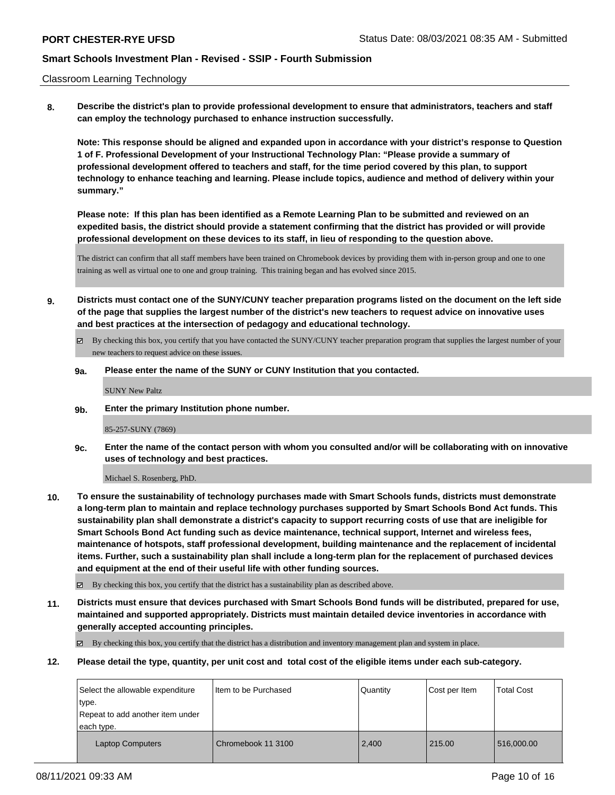#### Classroom Learning Technology

**8. Describe the district's plan to provide professional development to ensure that administrators, teachers and staff can employ the technology purchased to enhance instruction successfully.**

**Note: This response should be aligned and expanded upon in accordance with your district's response to Question 1 of F. Professional Development of your Instructional Technology Plan: "Please provide a summary of professional development offered to teachers and staff, for the time period covered by this plan, to support technology to enhance teaching and learning. Please include topics, audience and method of delivery within your summary."**

**Please note: If this plan has been identified as a Remote Learning Plan to be submitted and reviewed on an expedited basis, the district should provide a statement confirming that the district has provided or will provide professional development on these devices to its staff, in lieu of responding to the question above.**

The district can confirm that all staff members have been trained on Chromebook devices by providing them with in-person group and one to one training as well as virtual one to one and group training. This training began and has evolved since 2015.

**9. Districts must contact one of the SUNY/CUNY teacher preparation programs listed on the document on the left side of the page that supplies the largest number of the district's new teachers to request advice on innovative uses and best practices at the intersection of pedagogy and educational technology.**

By checking this box, you certify that you have contacted the SUNY/CUNY teacher preparation program that supplies the largest number of your new teachers to request advice on these issues.

### **9a. Please enter the name of the SUNY or CUNY Institution that you contacted.**

SUNY New Paltz

**9b. Enter the primary Institution phone number.**

#### 85-257-SUNY (7869)

**9c. Enter the name of the contact person with whom you consulted and/or will be collaborating with on innovative uses of technology and best practices.**

Michael S. Rosenberg, PhD.

**10. To ensure the sustainability of technology purchases made with Smart Schools funds, districts must demonstrate a long-term plan to maintain and replace technology purchases supported by Smart Schools Bond Act funds. This sustainability plan shall demonstrate a district's capacity to support recurring costs of use that are ineligible for Smart Schools Bond Act funding such as device maintenance, technical support, Internet and wireless fees, maintenance of hotspots, staff professional development, building maintenance and the replacement of incidental items. Further, such a sustainability plan shall include a long-term plan for the replacement of purchased devices and equipment at the end of their useful life with other funding sources.**

By checking this box, you certify that the district has a sustainability plan as described above.

**11. Districts must ensure that devices purchased with Smart Schools Bond funds will be distributed, prepared for use, maintained and supported appropriately. Districts must maintain detailed device inventories in accordance with generally accepted accounting principles.**

By checking this box, you certify that the district has a distribution and inventory management plan and system in place.

**12. Please detail the type, quantity, per unit cost and total cost of the eligible items under each sub-category.**

| Select the allowable expenditure<br>type.<br>Repeat to add another item under<br>each type. | I Item to be Purchased | Quantity | Cost per Item | <b>Total Cost</b> |
|---------------------------------------------------------------------------------------------|------------------------|----------|---------------|-------------------|
| <b>Laptop Computers</b>                                                                     | Chromebook 11 3100     | 2,400    | 215.00        | 516,000.00        |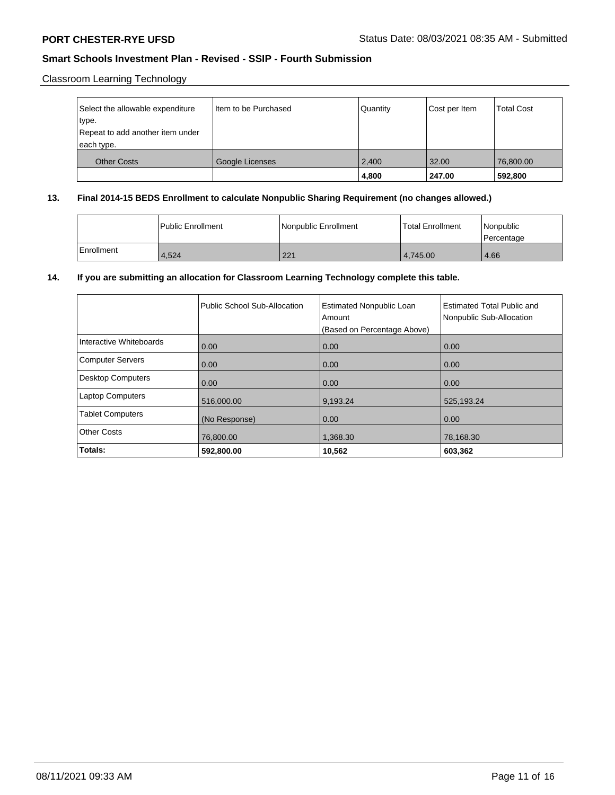Classroom Learning Technology

| Select the allowable expenditure<br>type.<br>Repeat to add another item under<br>each type. | Item to be Purchased | Quantity | Cost per Item | <b>Total Cost</b> |
|---------------------------------------------------------------------------------------------|----------------------|----------|---------------|-------------------|
| <b>Other Costs</b>                                                                          | Google Licenses      | 2,400    | 32.00         | 76,800.00         |
|                                                                                             |                      | 4,800    | 247.00        | 592,800           |

### **13. Final 2014-15 BEDS Enrollment to calculate Nonpublic Sharing Requirement (no changes allowed.)**

|              | <b>Public Enrollment</b> | Nonpublic Enrollment | l Total Enrollment | <i>Nonpublic</i><br>l Percentage |
|--------------|--------------------------|----------------------|--------------------|----------------------------------|
| l Enrollment | 4,524                    | 221                  | 4.745.00           | 4.66                             |

### **14. If you are submitting an allocation for Classroom Learning Technology complete this table.**

|                          | Public School Sub-Allocation | <b>Estimated Nonpublic Loan</b><br>Amount<br>(Based on Percentage Above) | <b>Estimated Total Public and</b><br>Nonpublic Sub-Allocation |
|--------------------------|------------------------------|--------------------------------------------------------------------------|---------------------------------------------------------------|
| Interactive Whiteboards  | 0.00                         | 0.00                                                                     | 0.00                                                          |
| <b>Computer Servers</b>  | 0.00                         | 0.00                                                                     | 0.00                                                          |
| <b>Desktop Computers</b> | 0.00                         | 0.00                                                                     | 0.00                                                          |
| <b>Laptop Computers</b>  | 516,000.00                   | 9,193.24                                                                 | 525,193.24                                                    |
| <b>Tablet Computers</b>  | (No Response)                | 0.00                                                                     | 0.00                                                          |
| <b>Other Costs</b>       | 76,800.00                    | 1,368.30                                                                 | 78,168.30                                                     |
| Totals:                  | 592,800.00                   | 10,562                                                                   | 603,362                                                       |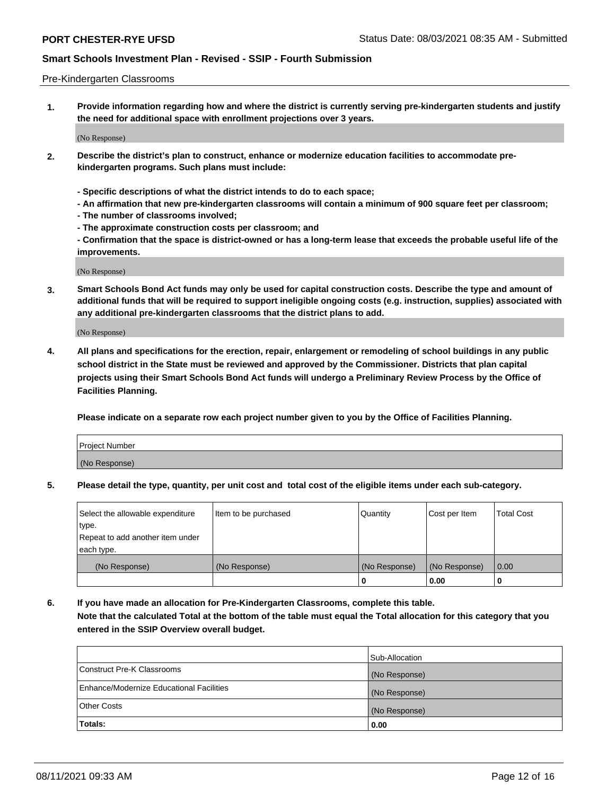### Pre-Kindergarten Classrooms

**1. Provide information regarding how and where the district is currently serving pre-kindergarten students and justify the need for additional space with enrollment projections over 3 years.**

(No Response)

- **2. Describe the district's plan to construct, enhance or modernize education facilities to accommodate prekindergarten programs. Such plans must include:**
	- **Specific descriptions of what the district intends to do to each space;**
	- **An affirmation that new pre-kindergarten classrooms will contain a minimum of 900 square feet per classroom;**
	- **The number of classrooms involved;**
	- **The approximate construction costs per classroom; and**
	- **Confirmation that the space is district-owned or has a long-term lease that exceeds the probable useful life of the improvements.**

(No Response)

**3. Smart Schools Bond Act funds may only be used for capital construction costs. Describe the type and amount of additional funds that will be required to support ineligible ongoing costs (e.g. instruction, supplies) associated with any additional pre-kindergarten classrooms that the district plans to add.**

(No Response)

**4. All plans and specifications for the erection, repair, enlargement or remodeling of school buildings in any public school district in the State must be reviewed and approved by the Commissioner. Districts that plan capital projects using their Smart Schools Bond Act funds will undergo a Preliminary Review Process by the Office of Facilities Planning.**

**Please indicate on a separate row each project number given to you by the Office of Facilities Planning.**

| Project Number |  |
|----------------|--|
| (No Response)  |  |
|                |  |

**5. Please detail the type, quantity, per unit cost and total cost of the eligible items under each sub-category.**

| Select the allowable expenditure | Item to be purchased | Quantity      | Cost per Item | <b>Total Cost</b> |
|----------------------------------|----------------------|---------------|---------------|-------------------|
| type.                            |                      |               |               |                   |
| Repeat to add another item under |                      |               |               |                   |
| each type.                       |                      |               |               |                   |
| (No Response)                    | (No Response)        | (No Response) | (No Response) | 0.00              |
|                                  |                      | o             | 0.00          | u                 |

**6. If you have made an allocation for Pre-Kindergarten Classrooms, complete this table. Note that the calculated Total at the bottom of the table must equal the Total allocation for this category that you entered in the SSIP Overview overall budget.**

|                                          | Sub-Allocation |
|------------------------------------------|----------------|
| Construct Pre-K Classrooms               | (No Response)  |
| Enhance/Modernize Educational Facilities | (No Response)  |
| <b>Other Costs</b>                       | (No Response)  |
| Totals:                                  | 0.00           |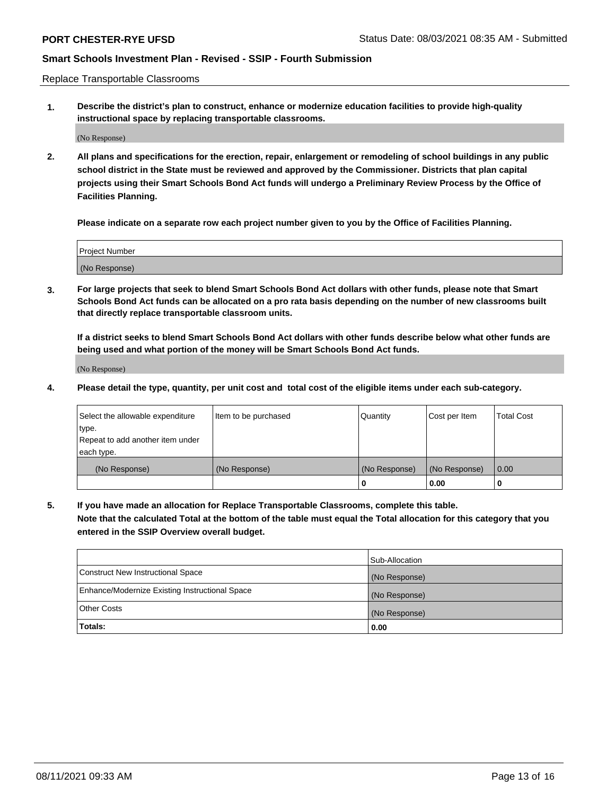Replace Transportable Classrooms

**1. Describe the district's plan to construct, enhance or modernize education facilities to provide high-quality instructional space by replacing transportable classrooms.**

(No Response)

**2. All plans and specifications for the erection, repair, enlargement or remodeling of school buildings in any public school district in the State must be reviewed and approved by the Commissioner. Districts that plan capital projects using their Smart Schools Bond Act funds will undergo a Preliminary Review Process by the Office of Facilities Planning.**

**Please indicate on a separate row each project number given to you by the Office of Facilities Planning.**

| Project Number |  |
|----------------|--|
|                |  |
| (No Response)  |  |

**3. For large projects that seek to blend Smart Schools Bond Act dollars with other funds, please note that Smart Schools Bond Act funds can be allocated on a pro rata basis depending on the number of new classrooms built that directly replace transportable classroom units.**

**If a district seeks to blend Smart Schools Bond Act dollars with other funds describe below what other funds are being used and what portion of the money will be Smart Schools Bond Act funds.**

(No Response)

**4. Please detail the type, quantity, per unit cost and total cost of the eligible items under each sub-category.**

| Select the allowable expenditure<br>∣type.     | Item to be purchased | Quantity      | Cost per Item | Total Cost |
|------------------------------------------------|----------------------|---------------|---------------|------------|
| Repeat to add another item under<br>each type. |                      |               |               |            |
| (No Response)                                  | (No Response)        | (No Response) | (No Response) | 0.00       |
|                                                |                      | u             | 0.00          |            |

**5. If you have made an allocation for Replace Transportable Classrooms, complete this table. Note that the calculated Total at the bottom of the table must equal the Total allocation for this category that you entered in the SSIP Overview overall budget.**

|                                                | Sub-Allocation |
|------------------------------------------------|----------------|
| Construct New Instructional Space              | (No Response)  |
| Enhance/Modernize Existing Instructional Space | (No Response)  |
| <b>Other Costs</b>                             | (No Response)  |
| Totals:                                        | 0.00           |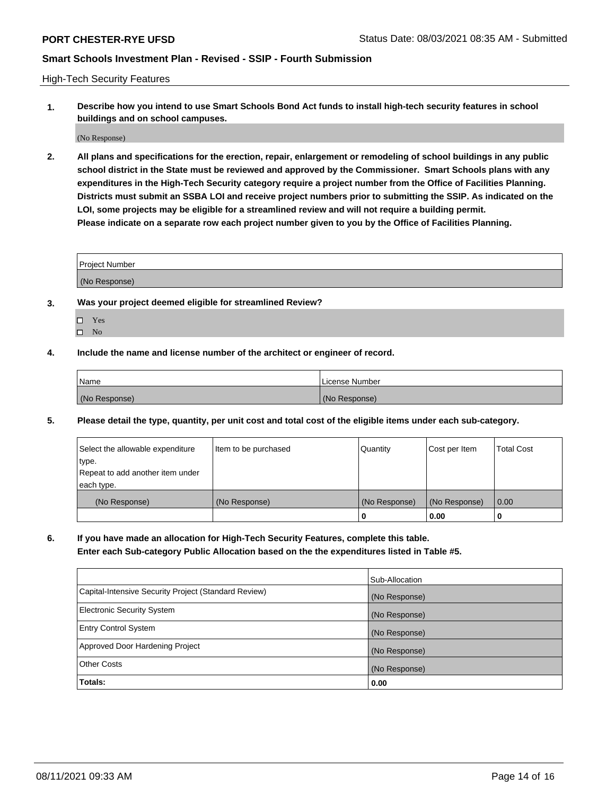High-Tech Security Features

**1. Describe how you intend to use Smart Schools Bond Act funds to install high-tech security features in school buildings and on school campuses.**

(No Response)

**2. All plans and specifications for the erection, repair, enlargement or remodeling of school buildings in any public school district in the State must be reviewed and approved by the Commissioner. Smart Schools plans with any expenditures in the High-Tech Security category require a project number from the Office of Facilities Planning. Districts must submit an SSBA LOI and receive project numbers prior to submitting the SSIP. As indicated on the LOI, some projects may be eligible for a streamlined review and will not require a building permit. Please indicate on a separate row each project number given to you by the Office of Facilities Planning.**

| <b>Project Number</b> |  |
|-----------------------|--|
| (No Response)         |  |

- **3. Was your project deemed eligible for streamlined Review?**
	- Yes
	- $\hfill \square$  No
- **4. Include the name and license number of the architect or engineer of record.**

| <b>Name</b>   | License Number |
|---------------|----------------|
| (No Response) | (No Response)  |

**5. Please detail the type, quantity, per unit cost and total cost of the eligible items under each sub-category.**

| Select the allowable expenditure | Item to be purchased | Quantity      | Cost per Item | <b>Total Cost</b> |
|----------------------------------|----------------------|---------------|---------------|-------------------|
| type.                            |                      |               |               |                   |
| Repeat to add another item under |                      |               |               |                   |
| each type.                       |                      |               |               |                   |
| (No Response)                    | (No Response)        | (No Response) | (No Response) | 0.00              |
|                                  |                      | 0             | 0.00          |                   |

**6. If you have made an allocation for High-Tech Security Features, complete this table.**

**Enter each Sub-category Public Allocation based on the the expenditures listed in Table #5.**

|                                                      | Sub-Allocation |
|------------------------------------------------------|----------------|
| Capital-Intensive Security Project (Standard Review) | (No Response)  |
| <b>Electronic Security System</b>                    | (No Response)  |
| <b>Entry Control System</b>                          | (No Response)  |
| Approved Door Hardening Project                      | (No Response)  |
| <b>Other Costs</b>                                   | (No Response)  |
| Totals:                                              | 0.00           |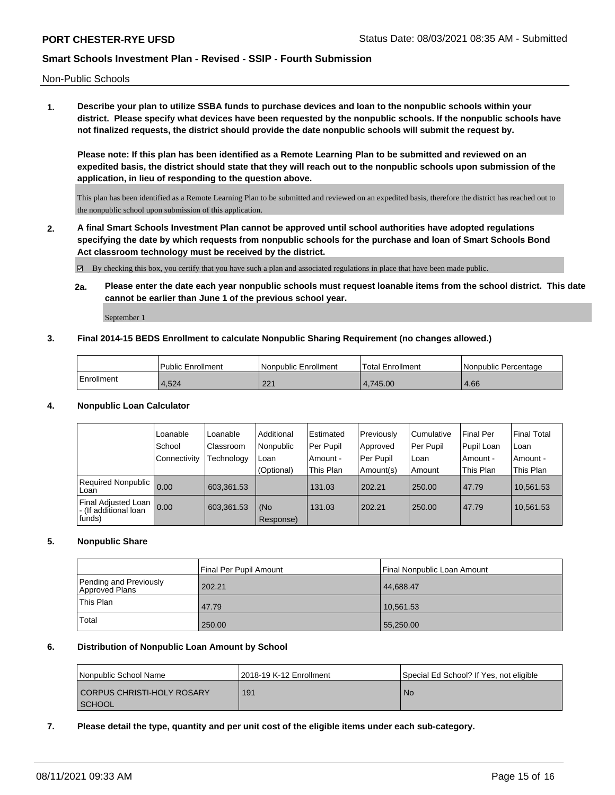Non-Public Schools

**1. Describe your plan to utilize SSBA funds to purchase devices and loan to the nonpublic schools within your district. Please specify what devices have been requested by the nonpublic schools. If the nonpublic schools have not finalized requests, the district should provide the date nonpublic schools will submit the request by.**

**Please note: If this plan has been identified as a Remote Learning Plan to be submitted and reviewed on an expedited basis, the district should state that they will reach out to the nonpublic schools upon submission of the application, in lieu of responding to the question above.**

This plan has been identified as a Remote Learning Plan to be submitted and reviewed on an expedited basis, therefore the district has reached out to the nonpublic school upon submission of this application.

**2. A final Smart Schools Investment Plan cannot be approved until school authorities have adopted regulations specifying the date by which requests from nonpublic schools for the purchase and loan of Smart Schools Bond Act classroom technology must be received by the district.**

By checking this box, you certify that you have such a plan and associated regulations in place that have been made public.

**2a. Please enter the date each year nonpublic schools must request loanable items from the school district. This date cannot be earlier than June 1 of the previous school year.**

September 1

### **3. Final 2014-15 BEDS Enrollment to calculate Nonpublic Sharing Requirement (no changes allowed.)**

|            | <b>Public Enrollment</b> | l Nonpublic Enrollment | <b>Total Enrollment</b> | l Nonpublic Percentage |
|------------|--------------------------|------------------------|-------------------------|------------------------|
| Enrollment | $+524$                   | つつ 1                   | 4.745.00                | 4.66                   |

### **4. Nonpublic Loan Calculator**

|                                                          | Loanable     | Loanable   | Additional       | l Estimated | Previously | Cumulative | <b>Final Per</b> | <b>Final Total</b> |
|----------------------------------------------------------|--------------|------------|------------------|-------------|------------|------------|------------------|--------------------|
|                                                          | School       | ⊧Classroom | Nonpublic        | Per Pupil   | Approved   | Per Pupil  | Pupil Loan       | l Loan             |
|                                                          | Connectivity | Technology | Loan             | Amount -    | Per Pupil  | Loan       | Amount -         | l Amount -         |
|                                                          |              |            | (Optional)       | This Plan   | Amount(s)  | Amount     | This Plan        | This Plan          |
| Required Nonpublic<br>Loan                               | 0.00         | 603,361.53 |                  | 131.03      | 202.21     | 250.00     | 47.79            | 10,561.53          |
| Final Adjusted Loan<br>I - (If additional loan<br>funds) | 0.00         | 603,361.53 | (No<br>Response) | 131.03      | 202.21     | 250.00     | 47.79            | 10,561.53          |

### **5. Nonpublic Share**

|                                          | Final Per Pupil Amount | Final Nonpublic Loan Amount |
|------------------------------------------|------------------------|-----------------------------|
| Pending and Previously<br>Approved Plans | 202.21                 | 44,688.47                   |
| This Plan                                | 47.79                  | 10,561.53                   |
| Total                                    | 250.00                 | 55,250.00                   |

### **6. Distribution of Nonpublic Loan Amount by School**

| Nonpublic School Name      | 12018-19 K-12 Enrollment | Special Ed School? If Yes, not eligible |
|----------------------------|--------------------------|-----------------------------------------|
| CORPUS CHRISTI-HOLY ROSARY | 191                      | l No                                    |
| <b>SCHOOL</b>              |                          |                                         |

**7. Please detail the type, quantity and per unit cost of the eligible items under each sub-category.**